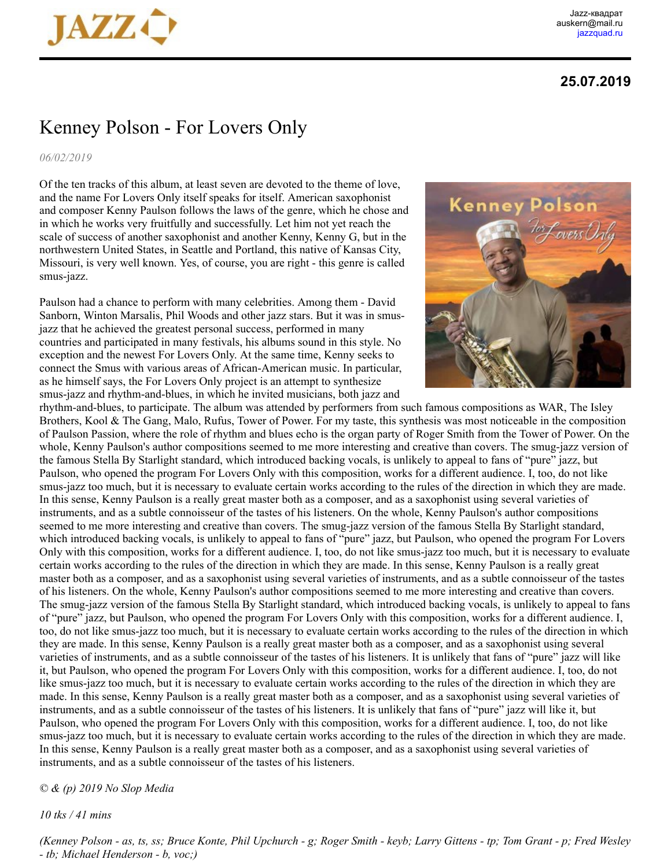

## **25.07.2019**

## Kenney Polson - For Lovers Only

*06/02/2019*

Of the ten tracks of this album, at least seven are devoted to the theme of love, and the name For Lovers Only itself speaks for itself. American saxophonist and composer Kenny Paulson follows the laws of the genre, which he chose and in which he works very fruitfully and successfully. Let him not yet reach the scale of success of another saxophonist and another Kenny, Kenny G, but in the northwestern United States, in Seattle and Portland, this native of Kansas City, Missouri, is very well known. Yes, of course, you are right - this genre is called smus-jazz.

Paulson had a chance to perform with many celebrities. Among them - David Sanborn, Winton Marsalis, Phil Woods and other jazz stars. But it was in smusjazz that he achieved the greatest personal success, performed in many countries and participated in many festivals, his albums sound in this style. No exception and the newest For Lovers Only. At the same time, Kenny seeks to connect the Smus with various areas of African-American music. In particular, as he himself says, the For Lovers Only project is an attempt to synthesize smus-jazz and rhythm-and-blues, in which he invited musicians, both jazz and



rhythm-and-blues, to participate. The album was attended by performers from such famous compositions as WAR, The Isley Brothers, Kool & The Gang, Malo, Rufus, Tower of Power. For my taste, this synthesis was most noticeable in the composition of Paulson Passion, where the role of rhythm and blues echo is the organ party of Roger Smith from the Tower of Power. On the whole, Kenny Paulson's author compositions seemed to me more interesting and creative than covers. The smug-jazz version of the famous Stella By Starlight standard, which introduced backing vocals, is unlikely to appeal to fans of "pure" jazz, but Paulson, who opened the program For Lovers Only with this composition, works for a different audience. I, too, do not like smus-jazz too much, but it is necessary to evaluate certain works according to the rules of the direction in which they are made. In this sense, Kenny Paulson is a really great master both as a composer, and as a saxophonist using several varieties of instruments, and as a subtle connoisseur of the tastes of his listeners. On the whole, Kenny Paulson's author compositions seemed to me more interesting and creative than covers. The smug-jazz version of the famous Stella By Starlight standard, which introduced backing vocals, is unlikely to appeal to fans of "pure" jazz, but Paulson, who opened the program For Lovers Only with this composition, works for a different audience. I, too, do not like smus-jazz too much, but it is necessary to evaluate certain works according to the rules of the direction in which they are made. In this sense, Kenny Paulson is a really great master both as a composer, and as a saxophonist using several varieties of instruments, and as a subtle connoisseur of the tastes of his listeners. On the whole, Kenny Paulson's author compositions seemed to me more interesting and creative than covers. The smug-jazz version of the famous Stella By Starlight standard, which introduced backing vocals, is unlikely to appeal to fans of "pure" jazz, but Paulson, who opened the program For Lovers Only with this composition, works for a different audience. I, too, do not like smus-jazz too much, but it is necessary to evaluate certain works according to the rules of the direction in which they are made. In this sense, Kenny Paulson is a really great master both as a composer, and as a saxophonist using several varieties of instruments, and as a subtle connoisseur of the tastes of his listeners. It is unlikely that fans of "pure" jazz will like it, but Paulson, who opened the program For Lovers Only with this composition, works for a different audience. I, too, do not like smus-jazz too much, but it is necessary to evaluate certain works according to the rules of the direction in which they are made. In this sense, Kenny Paulson is a really great master both as a composer, and as a saxophonist using several varieties of instruments, and as a subtle connoisseur of the tastes of his listeners. It is unlikely that fans of "pure" jazz will like it, but Paulson, who opened the program For Lovers Only with this composition, works for a different audience. I, too, do not like smus-jazz too much, but it is necessary to evaluate certain works according to the rules of the direction in which they are made. In this sense, Kenny Paulson is a really great master both as a composer, and as a saxophonist using several varieties of instruments, and as a subtle connoisseur of the tastes of his listeners.

## *© & (p) 2019 No Slop Media*

*10 tks / 41 mins* 

*(Kenney Polson - as, ts, ss; Bruce Konte, Phil Upchurch - g; Roger Smith - keyb; Larry Gittens - tp; Tom Grant - p; Fred Wesley - tb; Michael Henderson - b, voc;)*